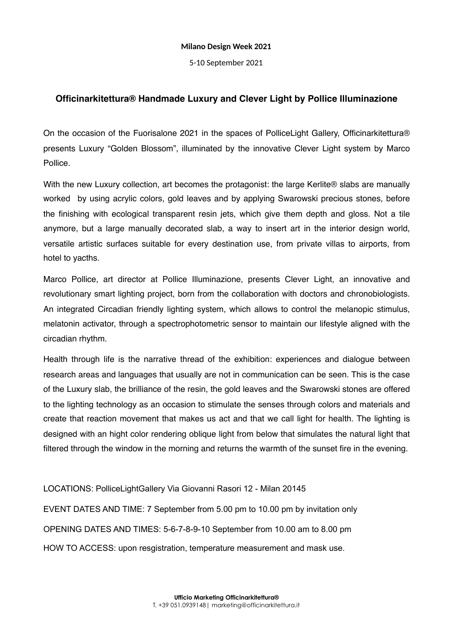## **Milano Design Week 2021**

5-10 September 2021

## **Officinarkitettura® Handmade Luxury and Clever Light by Pollice Illuminazione**

On the occasion of the Fuorisalone 2021 in the spaces of PolliceLight Gallery, Officinarkitettura® presents Luxury "Golden Blossom", illuminated by the innovative Clever Light system by Marco Pollice.

With the new Luxury collection, art becomes the protagonist: the large Kerlite® slabs are manually worked by using acrylic colors, gold leaves and by applying Swarowski precious stones, before the finishing with ecological transparent resin jets, which give them depth and gloss. Not a tile anymore, but a large manually decorated slab, a way to insert art in the interior design world, versatile artistic surfaces suitable for every destination use, from private villas to airports, from hotel to yacths.

Marco Pollice, art director at Pollice Illuminazione, presents Clever Light, an innovative and revolutionary smart lighting project, born from the collaboration with doctors and chronobiologists. An integrated Circadian friendly lighting system, which allows to control the melanopic stimulus, melatonin activator, through a spectrophotometric sensor to maintain our lifestyle aligned with the circadian rhythm.

Health through life is the narrative thread of the exhibition: experiences and dialogue between research areas and languages that usually are not in communication can be seen. This is the case of the Luxury slab, the brilliance of the resin, the gold leaves and the Swarowski stones are offered to the lighting technology as an occasion to stimulate the senses through colors and materials and create that reaction movement that makes us act and that we call light for health. The lighting is designed with an hight color rendering oblique light from below that simulates the natural light that filtered through the window in the morning and returns the warmth of the sunset fire in the evening.

LOCATIONS: PolliceLightGallery Via Giovanni Rasori 12 - Milan 20145

EVENT DATES AND TIME: 7 September from 5.00 pm to 10.00 pm by invitation only OPENING DATES AND TIMES: 5-6-7-8-9-10 September from 10.00 am to 8.00 pm HOW TO ACCESS: upon resgistration, temperature measurement and mask use.